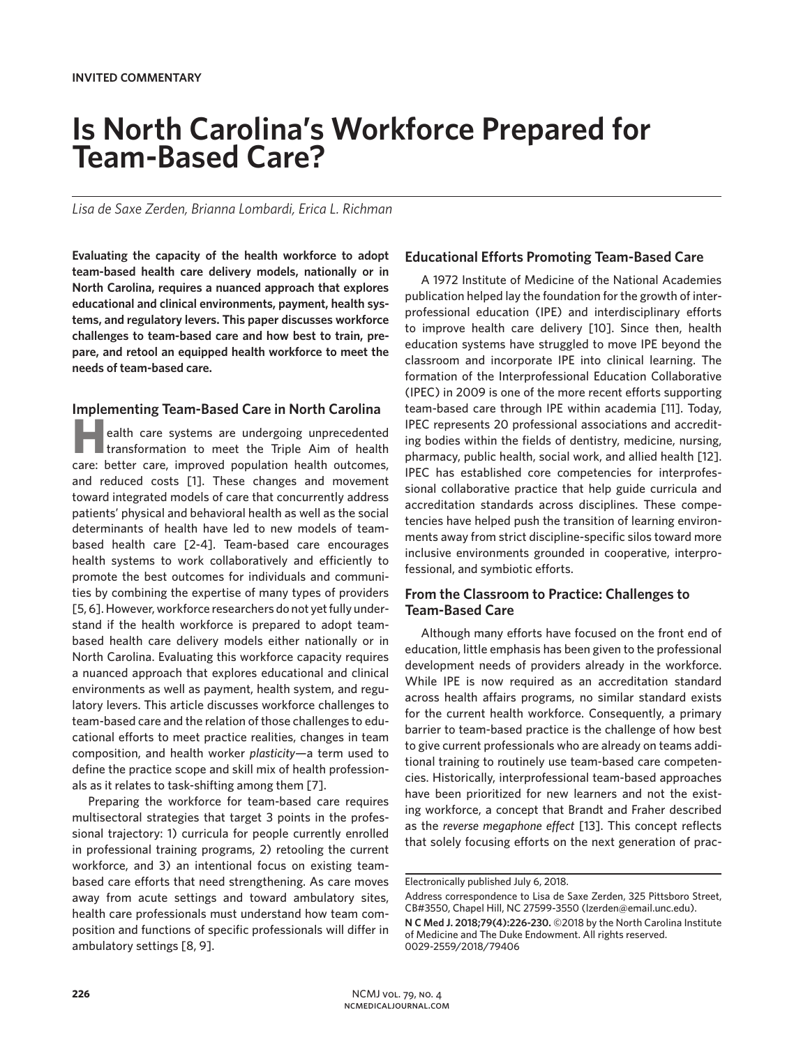# **Is North Carolina's Workforce Prepared for Team-Based Care?**

*Lisa de Saxe Zerden, Brianna Lombardi, Erica L. Richman*

**Evaluating the capacity of the health workforce to adopt team-based health care delivery models, nationally or in North Carolina, requires a nuanced approach that explores educational and clinical environments, payment, health systems, and regulatory levers. This paper discusses workforce challenges to team-based care and how best to train, prepare, and retool an equipped health workforce to meet the needs of team-based care.** 

## **Implementing Team-Based Care in North Carolina**

**Health care systems are undergoing unprecedented**<br>
transformation to meet the Triple Aim of health care: better care, improved population health outcomes, and reduced costs [1]. These changes and movement toward integrated models of care that concurrently address patients' physical and behavioral health as well as the social determinants of health have led to new models of teambased health care [2-4]. Team-based care encourages health systems to work collaboratively and efficiently to promote the best outcomes for individuals and communities by combining the expertise of many types of providers [5, 6]. However, workforce researchers do not yet fully understand if the health workforce is prepared to adopt teambased health care delivery models either nationally or in North Carolina. Evaluating this workforce capacity requires a nuanced approach that explores educational and clinical environments as well as payment, health system, and regulatory levers. This article discusses workforce challenges to team-based care and the relation of those challenges to educational efforts to meet practice realities, changes in team composition, and health worker *plasticity*—a term used to define the practice scope and skill mix of health professionals as it relates to task-shifting among them [7].

Preparing the workforce for team-based care requires multisectoral strategies that target 3 points in the professional trajectory: 1) curricula for people currently enrolled in professional training programs, 2) retooling the current workforce, and 3) an intentional focus on existing teambased care efforts that need strengthening. As care moves away from acute settings and toward ambulatory sites, health care professionals must understand how team composition and functions of specific professionals will differ in ambulatory settings [8, 9].

# **Educational Efforts Promoting Team-Based Care**

A 1972 Institute of Medicine of the National Academies publication helped lay the foundation for the growth of interprofessional education (IPE) and interdisciplinary efforts to improve health care delivery [10]. Since then, health education systems have struggled to move IPE beyond the classroom and incorporate IPE into clinical learning. The formation of the Interprofessional Education Collaborative (IPEC) in 2009 is one of the more recent efforts supporting team-based care through IPE within academia [11]. Today, IPEC represents 20 professional associations and accrediting bodies within the fields of dentistry, medicine, nursing, pharmacy, public health, social work, and allied health [12]. IPEC has established core competencies for interprofessional collaborative practice that help guide curricula and accreditation standards across disciplines. These competencies have helped push the transition of learning environments away from strict discipline-specific silos toward more inclusive environments grounded in cooperative, interprofessional, and symbiotic efforts.

# **From the Classroom to Practice: Challenges to Team-Based Care**

Although many efforts have focused on the front end of education, little emphasis has been given to the professional development needs of providers already in the workforce. While IPE is now required as an accreditation standard across health affairs programs, no similar standard exists for the current health workforce. Consequently, a primary barrier to team-based practice is the challenge of how best to give current professionals who are already on teams additional training to routinely use team-based care competencies. Historically, interprofessional team-based approaches have been prioritized for new learners and not the existing workforce, a concept that Brandt and Fraher described as the *reverse megaphone effect* [13]. This concept reflects that solely focusing efforts on the next generation of prac-

Electronically published July 6, 2018.

Address correspondence to Lisa de Saxe Zerden, 325 Pittsboro Street, CB#3550, Chapel Hill, NC 27599-3550 (lzerden@email.unc.edu).

**N C Med J. 2018;79(4):226-230.** ©2018 by the North Carolina Institute of Medicine and The Duke Endowment. All rights reserved. 0029-2559/2018/79406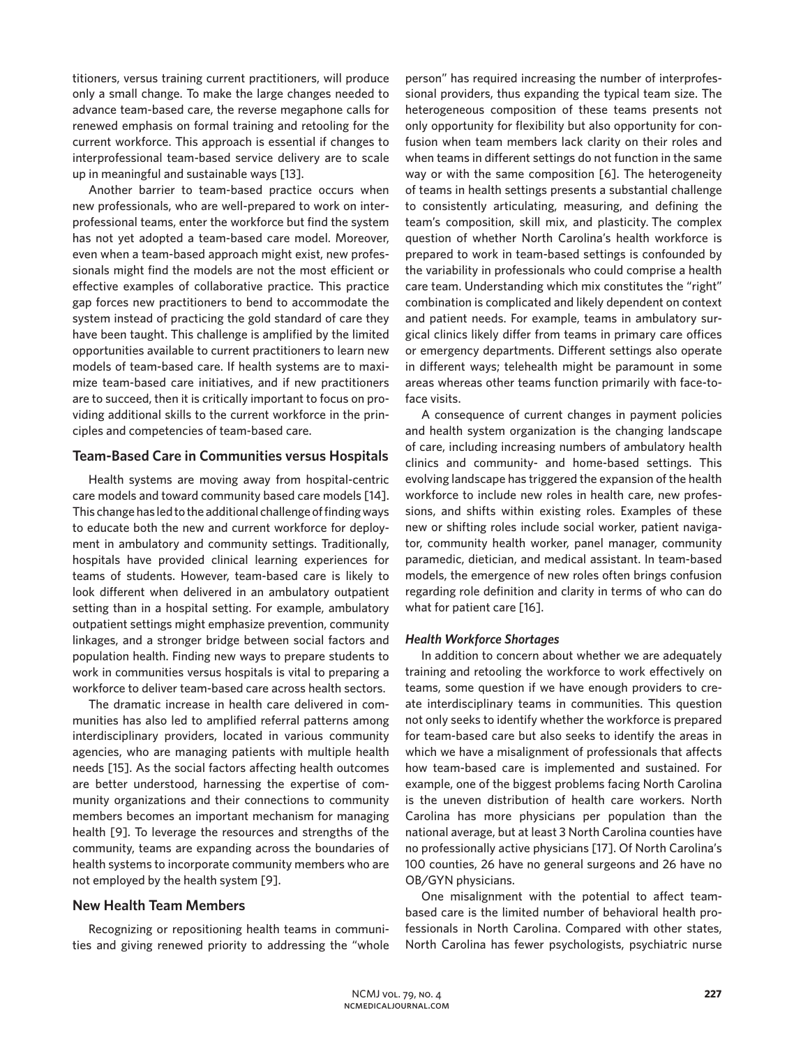titioners, versus training current practitioners, will produce only a small change. To make the large changes needed to advance team-based care, the reverse megaphone calls for renewed emphasis on formal training and retooling for the current workforce. This approach is essential if changes to interprofessional team-based service delivery are to scale up in meaningful and sustainable ways [13].

Another barrier to team-based practice occurs when new professionals, who are well-prepared to work on interprofessional teams, enter the workforce but find the system has not yet adopted a team-based care model. Moreover, even when a team-based approach might exist, new professionals might find the models are not the most efficient or effective examples of collaborative practice. This practice gap forces new practitioners to bend to accommodate the system instead of practicing the gold standard of care they have been taught. This challenge is amplified by the limited opportunities available to current practitioners to learn new models of team-based care. If health systems are to maximize team-based care initiatives, and if new practitioners are to succeed, then it is critically important to focus on providing additional skills to the current workforce in the principles and competencies of team-based care.

## **Team-Based Care in Communities versus Hospitals**

Health systems are moving away from hospital-centric care models and toward community based care models [14]. This change has led to the additional challenge of finding ways to educate both the new and current workforce for deployment in ambulatory and community settings. Traditionally, hospitals have provided clinical learning experiences for teams of students. However, team-based care is likely to look different when delivered in an ambulatory outpatient setting than in a hospital setting. For example, ambulatory outpatient settings might emphasize prevention, community linkages, and a stronger bridge between social factors and population health. Finding new ways to prepare students to work in communities versus hospitals is vital to preparing a workforce to deliver team-based care across health sectors.

The dramatic increase in health care delivered in communities has also led to amplified referral patterns among interdisciplinary providers, located in various community agencies, who are managing patients with multiple health needs [15]. As the social factors affecting health outcomes are better understood, harnessing the expertise of community organizations and their connections to community members becomes an important mechanism for managing health [9]. To leverage the resources and strengths of the community, teams are expanding across the boundaries of health systems to incorporate community members who are not employed by the health system [9].

## **New Health Team Members**

Recognizing or repositioning health teams in communities and giving renewed priority to addressing the "whole

person" has required increasing the number of interprofessional providers, thus expanding the typical team size. The heterogeneous composition of these teams presents not only opportunity for flexibility but also opportunity for confusion when team members lack clarity on their roles and when teams in different settings do not function in the same way or with the same composition [6]. The heterogeneity of teams in health settings presents a substantial challenge to consistently articulating, measuring, and defining the team's composition, skill mix, and plasticity. The complex question of whether North Carolina's health workforce is prepared to work in team-based settings is confounded by the variability in professionals who could comprise a health care team. Understanding which mix constitutes the "right" combination is complicated and likely dependent on context and patient needs. For example, teams in ambulatory surgical clinics likely differ from teams in primary care offices or emergency departments. Different settings also operate in different ways; telehealth might be paramount in some areas whereas other teams function primarily with face-toface visits.

A consequence of current changes in payment policies and health system organization is the changing landscape of care, including increasing numbers of ambulatory health clinics and community- and home-based settings. This evolving landscape has triggered the expansion of the health workforce to include new roles in health care, new professions, and shifts within existing roles. Examples of these new or shifting roles include social worker, patient navigator, community health worker, panel manager, community paramedic, dietician, and medical assistant. In team-based models, the emergence of new roles often brings confusion regarding role definition and clarity in terms of who can do what for patient care [16].

#### *Health Workforce Shortages*

In addition to concern about whether we are adequately training and retooling the workforce to work effectively on teams, some question if we have enough providers to create interdisciplinary teams in communities. This question not only seeks to identify whether the workforce is prepared for team-based care but also seeks to identify the areas in which we have a misalignment of professionals that affects how team-based care is implemented and sustained. For example, one of the biggest problems facing North Carolina is the uneven distribution of health care workers. North Carolina has more physicians per population than the national average, but at least 3 North Carolina counties have no professionally active physicians [17]. Of North Carolina's 100 counties, 26 have no general surgeons and 26 have no OB/GYN physicians.

One misalignment with the potential to affect teambased care is the limited number of behavioral health professionals in North Carolina. Compared with other states, North Carolina has fewer psychologists, psychiatric nurse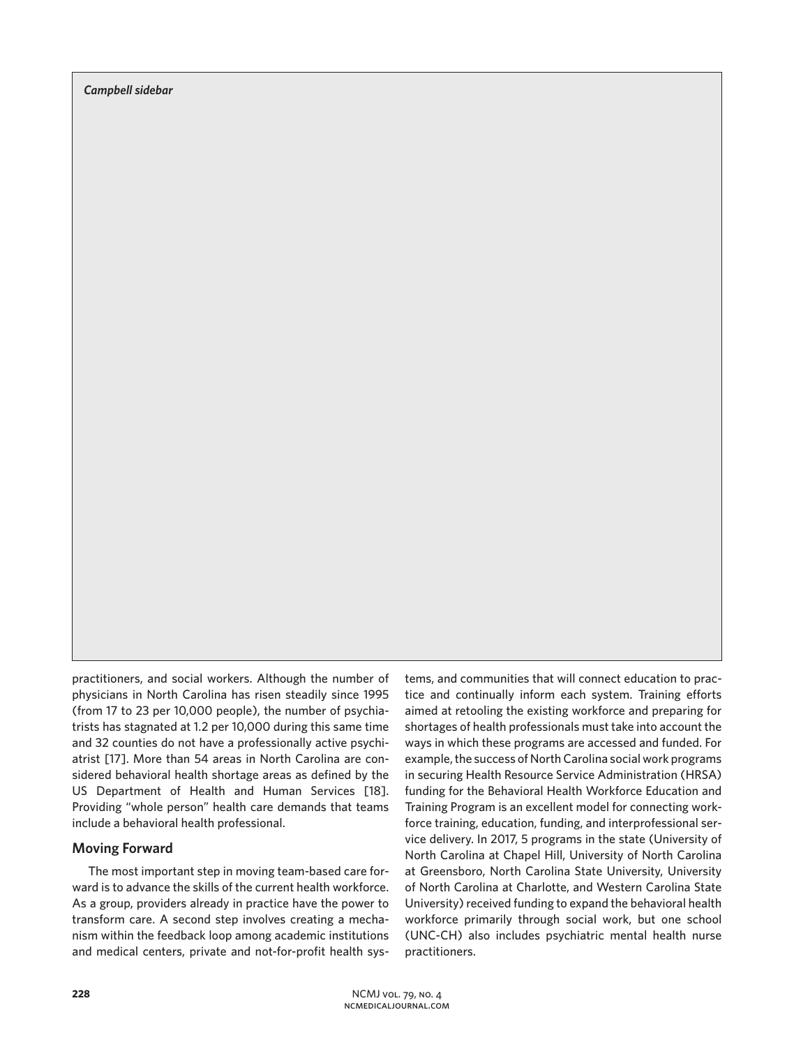*Campbell sidebar*

practitioners, and social workers. Although the number of physicians in North Carolina has risen steadily since 1995 (from 17 to 23 per 10,000 people), the number of psychiatrists has stagnated at 1.2 per 10,000 during this same time and 32 counties do not have a professionally active psychiatrist [17]. More than 54 areas in North Carolina are considered behavioral health shortage areas as defined by the US Department of Health and Human Services [18]. Providing "whole person" health care demands that teams include a behavioral health professional.

## **Moving Forward**

The most important step in moving team-based care forward is to advance the skills of the current health workforce. As a group, providers already in practice have the power to transform care. A second step involves creating a mechanism within the feedback loop among academic institutions and medical centers, private and not-for-profit health systems, and communities that will connect education to practice and continually inform each system. Training efforts aimed at retooling the existing workforce and preparing for shortages of health professionals must take into account the ways in which these programs are accessed and funded. For example, the success of North Carolina social work programs in securing Health Resource Service Administration (HRSA) funding for the Behavioral Health Workforce Education and Training Program is an excellent model for connecting workforce training, education, funding, and interprofessional service delivery. In 2017, 5 programs in the state (University of North Carolina at Chapel Hill, University of North Carolina at Greensboro, North Carolina State University, University of North Carolina at Charlotte, and Western Carolina State University) received funding to expand the behavioral health workforce primarily through social work, but one school (UNC-CH) also includes psychiatric mental health nurse practitioners.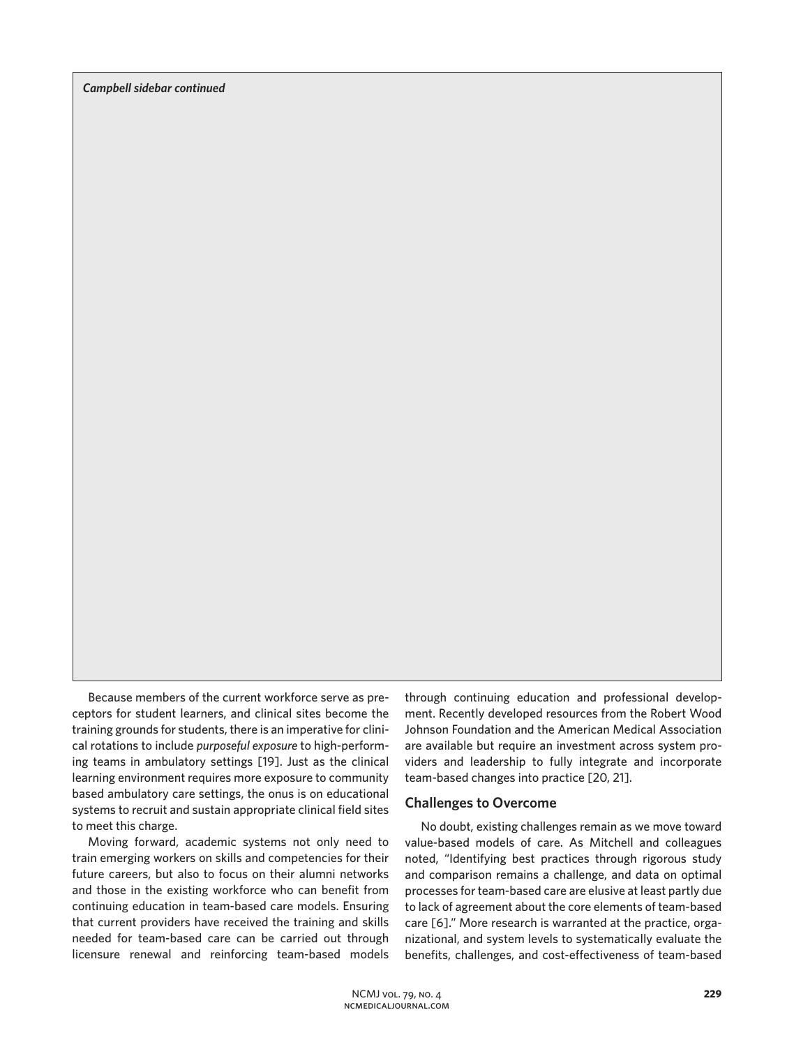*Campbell sidebar continued*

Because members of the current workforce serve as preceptors for student learners, and clinical sites become the training grounds for students, there is an imperative for clinical rotations to include *purposeful exposure* to high-performing teams in ambulatory settings [19]. Just as the clinical learning environment requires more exposure to community based ambulatory care settings, the onus is on educational systems to recruit and sustain appropriate clinical field sites to meet this charge.

Moving forward, academic systems not only need to train emerging workers on skills and competencies for their future careers, but also to focus on their alumni networks and those in the existing workforce who can benefit from continuing education in team-based care models. Ensuring that current providers have received the training and skills needed for team-based care can be carried out through licensure renewal and reinforcing team-based models through continuing education and professional development. Recently developed resources from the Robert Wood Johnson Foundation and the American Medical Association are available but require an investment across system providers and leadership to fully integrate and incorporate team-based changes into practice [20, 21].

### **Challenges to Overcome**

No doubt, existing challenges remain as we move toward value-based models of care. As Mitchell and colleagues noted, "Identifying best practices through rigorous study and comparison remains a challenge, and data on optimal processes for team-based care are elusive at least partly due to lack of agreement about the core elements of team-based care [6]." More research is warranted at the practice, organizational, and system levels to systematically evaluate the benefits, challenges, and cost-effectiveness of team-based